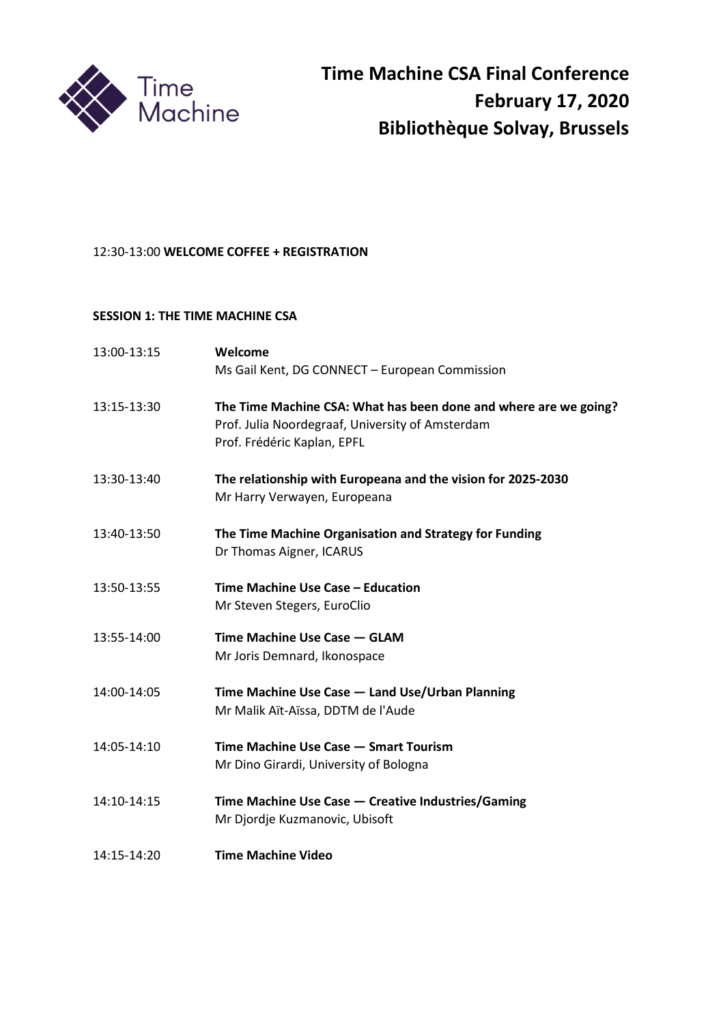

# 12:30-13:00 **WELCOME COFFEE + REGISTRATION**

## **SESSION 1: THE TIME MACHINE CSA**

| 13:00-13:15 | Welcome                                                                         |
|-------------|---------------------------------------------------------------------------------|
|             | Ms Gail Kent, DG CONNECT - European Commission                                  |
| 13:15-13:30 | The Time Machine CSA: What has been done and where are we going?                |
|             | Prof. Julia Noordegraaf, University of Amsterdam<br>Prof. Frédéric Kaplan, EPFL |
|             |                                                                                 |
| 13:30-13:40 | The relationship with Europeana and the vision for 2025-2030                    |
|             | Mr Harry Verwayen, Europeana                                                    |
| 13:40-13:50 | The Time Machine Organisation and Strategy for Funding                          |
|             | Dr Thomas Aigner, ICARUS                                                        |
| 13:50-13:55 | Time Machine Use Case - Education                                               |
|             | Mr Steven Stegers, EuroClio                                                     |
| 13:55-14:00 | Time Machine Use Case - GLAM                                                    |
|             | Mr Joris Demnard, Ikonospace                                                    |
| 14:00-14:05 | Time Machine Use Case - Land Use/Urban Planning                                 |
|             | Mr Malik Aït-Aïssa, DDTM de l'Aude                                              |
| 14:05-14:10 | Time Machine Use Case - Smart Tourism                                           |
|             | Mr Dino Girardi, University of Bologna                                          |
| 14:10-14:15 | Time Machine Use Case - Creative Industries/Gaming                              |
|             | Mr Djordje Kuzmanovic, Ubisoft                                                  |
| 14:15-14:20 | <b>Time Machine Video</b>                                                       |
|             |                                                                                 |